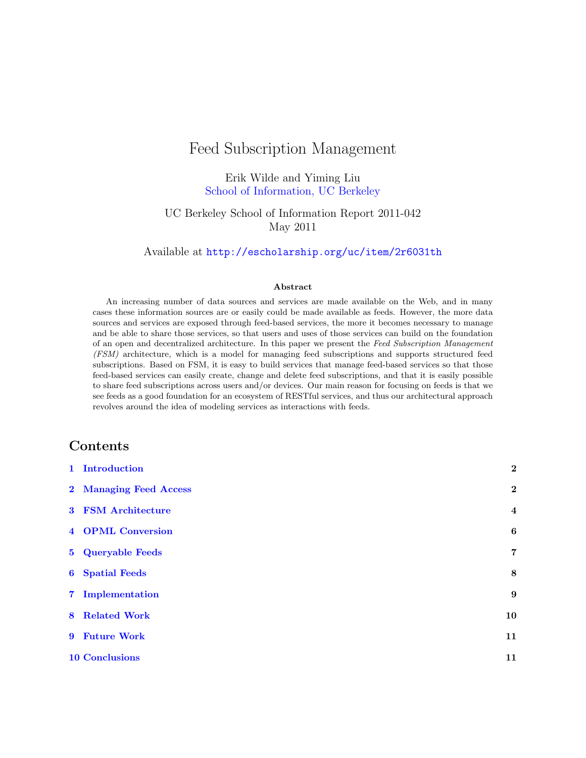# Feed Subscription Management

Erik Wilde and Yiming Liu [School of Information, UC Berkeley](http://www.ischool.berkeley.edu/)

UC Berkeley School of Information Report 2011-042 May 2011

Available at <http://escholarship.org/uc/item/2r6031th>

#### Abstract

An increasing number of data sources and services are made available on the Web, and in many cases these information sources are or easily could be made available as feeds. However, the more data sources and services are exposed through feed-based services, the more it becomes necessary to manage and be able to share those services, so that users and uses of those services can build on the foundation of an open and decentralized architecture. In this paper we present the Feed Subscription Management (FSM) architecture, which is a model for managing feed subscriptions and supports structured feed subscriptions. Based on FSM, it is easy to build services that manage feed-based services so that those feed-based services can easily create, change and delete feed subscriptions, and that it is easily possible to share feed subscriptions across users and/or devices. Our main reason for focusing on feeds is that we see feeds as a good foundation for an ecosystem of RESTful services, and thus our architectural approach revolves around the idea of modeling services as interactions with feeds.

### Contents

| 1 Introduction            | $\boldsymbol{2}$        |
|---------------------------|-------------------------|
| 2 Managing Feed Access    | $\overline{2}$          |
| <b>3 FSM Architecture</b> | $\overline{\mathbf{4}}$ |
| <b>4 OPML Conversion</b>  | $\boldsymbol{6}$        |
| 5 Queryable Feeds         | $\overline{7}$          |
| <b>6</b> Spatial Feeds    | 8                       |
| 7 Implementation          | 9                       |
| <b>8</b> Related Work     | 10                      |
| 9 Future Work             | 11                      |
| <b>10 Conclusions</b>     | 11                      |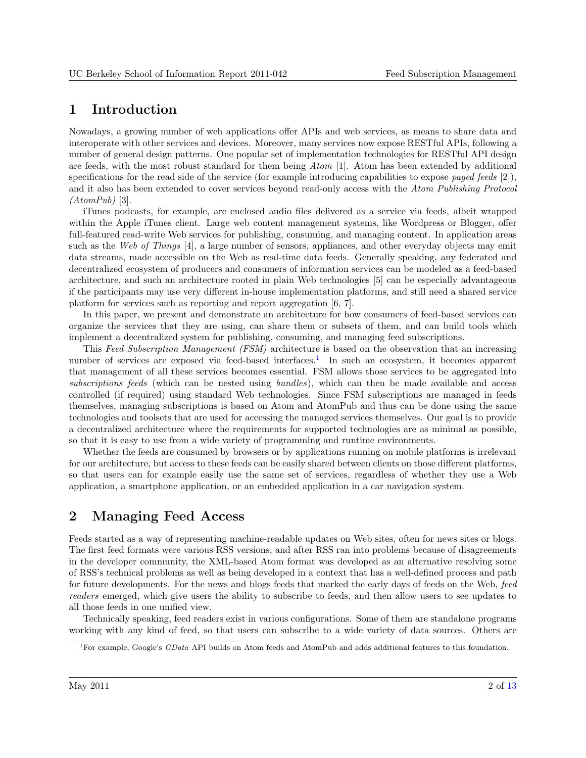# <span id="page-1-0"></span>1 Introduction

Nowadays, a growing number of web applications offer APIs and web services, as means to share data and interoperate with other services and devices. Moreover, many services now expose RESTful APIs, following a number of general design patterns. One popular set of implementation technologies for RESTful API design are feeds, with the most robust standard for them being Atom [\[1\]](#page-11-0). Atom has been extended by additional specifications for the read side of the service (for example introducing capabilities to expose paged feeds  $[2]$ ), and it also has been extended to cover services beyond read-only access with the Atom Publishing Protocol  $(AtomPub)$  [\[3\]](#page-11-0).

iTunes podcasts, for example, are enclosed audio files delivered as a service via feeds, albeit wrapped within the Apple iTunes client. Large web content management systems, like Wordpress or Blogger, offer full-featured read-write Web services for publishing, consuming, and managing content. In application areas such as the Web of Things [\[4\]](#page-11-0), a large number of sensors, appliances, and other everyday objects may emit data streams, made accessible on the Web as real-time data feeds. Generally speaking, any federated and decentralized ecosystem of producers and consumers of information services can be modeled as a feed-based architecture, and such an architecture rooted in plain Web technologies [\[5\]](#page-11-0) can be especially advantageous if the participants may use very different in-house implementation platforms, and still need a shared service platform for services such as reporting and report aggregation [\[6,](#page-11-0) [7\]](#page-11-0).

In this paper, we present and demonstrate an architecture for how consumers of feed-based services can organize the services that they are using, can share them or subsets of them, and can build tools which implement a decentralized system for publishing, consuming, and managing feed subscriptions.

This Feed Subscription Management (FSM) architecture is based on the observation that an increasing number of services are exposed via feed-based interfaces.<sup>1</sup> In such an ecosystem, it becomes apparent that management of all these services becomes essential. FSM allows those services to be aggregated into subscriptions feeds (which can be nested using bundles), which can then be made available and access controlled (if required) using standard Web technologies. Since FSM subscriptions are managed in feeds themselves, managing subscriptions is based on Atom and AtomPub and thus can be done using the same technologies and toolsets that are used for accessing the managed services themselves. Our goal is to provide a decentralized architecture where the requirements for supported technologies are as minimal as possible, so that it is easy to use from a wide variety of programming and runtime environments.

Whether the feeds are consumed by browsers or by applications running on mobile platforms is irrelevant for our architecture, but access to these feeds can be easily shared between clients on those different platforms, so that users can for example easily use the same set of services, regardless of whether they use a Web application, a smartphone application, or an embedded application in a car navigation system.

# 2 Managing Feed Access

Feeds started as a way of representing machine-readable updates on Web sites, often for news sites or blogs. The first feed formats were various RSS versions, and after RSS ran into problems because of disagreements in the developer community, the XML-based Atom format was developed as an alternative resolving some of RSS's technical problems as well as being developed in a context that has a well-defined process and path for future developments. For the news and blogs feeds that marked the early days of feeds on the Web, feed readers emerged, which give users the ability to subscribe to feeds, and then allow users to see updates to all those feeds in one unified view.

Technically speaking, feed readers exist in various configurations. Some of them are standalone programs working with any kind of feed, so that users can subscribe to a wide variety of data sources. Others are

<sup>&</sup>lt;sup>1</sup>For example, Google's GData API builds on Atom feeds and AtomPub and adds additional features to this foundation.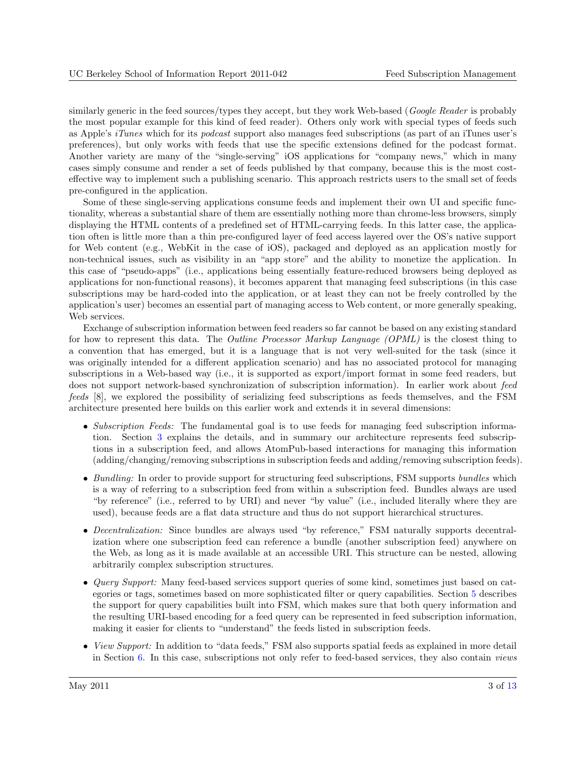similarly generic in the feed sources/types they accept, but they work Web-based (Google Reader is probably the most popular example for this kind of feed reader). Others only work with special types of feeds such as Apple's iTunes which for its podcast support also manages feed subscriptions (as part of an iTunes user's preferences), but only works with feeds that use the specific extensions defined for the podcast format. Another variety are many of the "single-serving" iOS applications for "company news," which in many cases simply consume and render a set of feeds published by that company, because this is the most costeffective way to implement such a publishing scenario. This approach restricts users to the small set of feeds pre-configured in the application.

Some of these single-serving applications consume feeds and implement their own UI and specific functionality, whereas a substantial share of them are essentially nothing more than chrome-less browsers, simply displaying the HTML contents of a predefined set of HTML-carrying feeds. In this latter case, the application often is little more than a thin pre-configured layer of feed access layered over the OS's native support for Web content (e.g., WebKit in the case of iOS), packaged and deployed as an application mostly for non-technical issues, such as visibility in an "app store" and the ability to monetize the application. In this case of "pseudo-apps" (i.e., applications being essentially feature-reduced browsers being deployed as applications for non-functional reasons), it becomes apparent that managing feed subscriptions (in this case subscriptions may be hard-coded into the application, or at least they can not be freely controlled by the application's user) becomes an essential part of managing access to Web content, or more generally speaking, Web services.

Exchange of subscription information between feed readers so far cannot be based on any existing standard for how to represent this data. The *Outline Processor Markup Language (OPML)* is the closest thing to a convention that has emerged, but it is a language that is not very well-suited for the task (since it was originally intended for a different application scenario) and has no associated protocol for managing subscriptions in a Web-based way (i.e., it is supported as export/import format in some feed readers, but does not support network-based synchronization of subscription information). In earlier work about feed feeds [\[8\]](#page-11-0), we explored the possibility of serializing feed subscriptions as feeds themselves, and the FSM architecture presented here builds on this earlier work and extends it in several dimensions:

- Subscription Feeds: The fundamental goal is to use feeds for managing feed subscription information. Section [3](#page-3-0) explains the details, and in summary our architecture represents feed subscriptions in a subscription feed, and allows AtomPub-based interactions for managing this information (adding/changing/removing subscriptions in subscription feeds and adding/removing subscription feeds).
- Bundling: In order to provide support for structuring feed subscriptions, FSM supports bundles which is a way of referring to a subscription feed from within a subscription feed. Bundles always are used "by reference" (i.e., referred to by URI) and never "by value" (i.e., included literally where they are used), because feeds are a flat data structure and thus do not support hierarchical structures.
- Decentralization: Since bundles are always used "by reference," FSM naturally supports decentralization where one subscription feed can reference a bundle (another subscription feed) anywhere on the Web, as long as it is made available at an accessible URI. This structure can be nested, allowing arbitrarily complex subscription structures.
- *Query Support:* Many feed-based services support queries of some kind, sometimes just based on categories or tags, sometimes based on more sophisticated filter or query capabilities. Section [5](#page-6-0) describes the support for query capabilities built into FSM, which makes sure that both query information and the resulting URI-based encoding for a feed query can be represented in feed subscription information, making it easier for clients to "understand" the feeds listed in subscription feeds.
- View Support: In addition to "data feeds," FSM also supports spatial feeds as explained in more detail in Section [6.](#page-7-0) In this case, subscriptions not only refer to feed-based services, they also contain views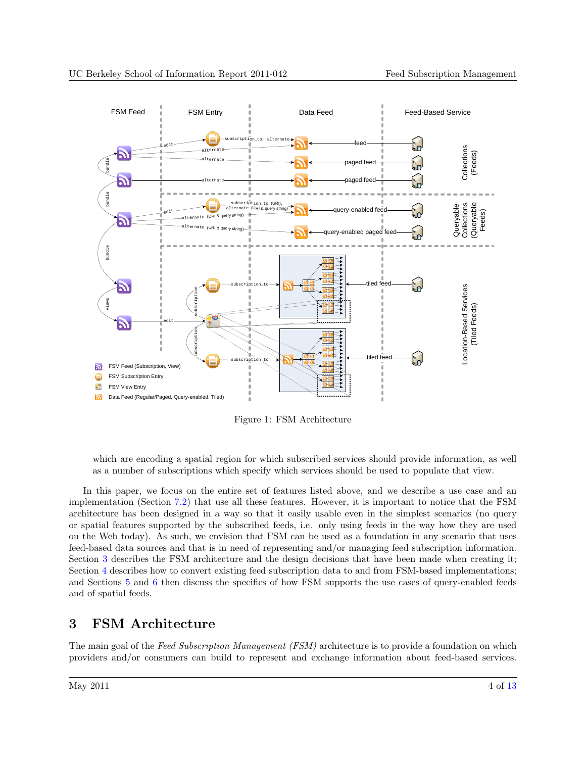<span id="page-3-0"></span>

Figure 1: FSM Architecture

which are encoding a spatial region for which subscribed services should provide information, as well as a number of subscriptions which specify which services should be used to populate that view.

In this paper, we focus on the entire set of features listed above, and we describe a use case and an implementation (Section [7.2\)](#page-8-0) that use all these features. However, it is important to notice that the FSM architecture has been designed in a way so that it easily usable even in the simplest scenarios (no query or spatial features supported by the subscribed feeds, i.e. only using feeds in the way how they are used on the Web today). As such, we envision that FSM can be used as a foundation in any scenario that uses feed-based data sources and that is in need of representing and/or managing feed subscription information. Section 3 describes the FSM architecture and the design decisions that have been made when creating it; Section [4](#page-5-0) describes how to convert existing feed subscription data to and from FSM-based implementations; and Sections [5](#page-6-0) and [6](#page-7-0) then discuss the specifics of how FSM supports the use cases of query-enabled feeds and of spatial feeds.

# 3 FSM Architecture

The main goal of the Feed Subscription Management (FSM) architecture is to provide a foundation on which providers and/or consumers can build to represent and exchange information about feed-based services.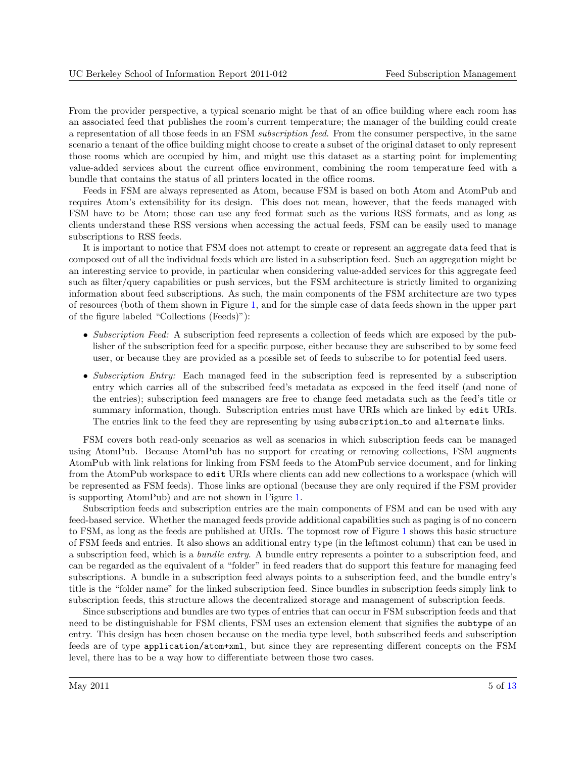From the provider perspective, a typical scenario might be that of an office building where each room has an associated feed that publishes the room's current temperature; the manager of the building could create a representation of all those feeds in an FSM subscription feed. From the consumer perspective, in the same scenario a tenant of the office building might choose to create a subset of the original dataset to only represent those rooms which are occupied by him, and might use this dataset as a starting point for implementing value-added services about the current office environment, combining the room temperature feed with a bundle that contains the status of all printers located in the office rooms.

Feeds in FSM are always represented as Atom, because FSM is based on both Atom and AtomPub and requires Atom's extensibility for its design. This does not mean, however, that the feeds managed with FSM have to be Atom; those can use any feed format such as the various RSS formats, and as long as clients understand these RSS versions when accessing the actual feeds, FSM can be easily used to manage subscriptions to RSS feeds.

It is important to notice that FSM does not attempt to create or represent an aggregate data feed that is composed out of all the individual feeds which are listed in a subscription feed. Such an aggregation might be an interesting service to provide, in particular when considering value-added services for this aggregate feed such as filter/query capabilities or push services, but the FSM architecture is strictly limited to organizing information about feed subscriptions. As such, the main components of the FSM architecture are two types of resources (both of them shown in Figure [1,](#page-3-0) and for the simple case of data feeds shown in the upper part of the figure labeled "Collections (Feeds)"):

- Subscription Feed: A subscription feed represents a collection of feeds which are exposed by the publisher of the subscription feed for a specific purpose, either because they are subscribed to by some feed user, or because they are provided as a possible set of feeds to subscribe to for potential feed users.
- Subscription Entry: Each managed feed in the subscription feed is represented by a subscription entry which carries all of the subscribed feed's metadata as exposed in the feed itself (and none of the entries); subscription feed managers are free to change feed metadata such as the feed's title or summary information, though. Subscription entries must have URIs which are linked by edit URIs. The entries link to the feed they are representing by using subscription to and alternate links.

FSM covers both read-only scenarios as well as scenarios in which subscription feeds can be managed using AtomPub. Because AtomPub has no support for creating or removing collections, FSM augments AtomPub with link relations for linking from FSM feeds to the AtomPub service document, and for linking from the AtomPub workspace to edit URIs where clients can add new collections to a workspace (which will be represented as FSM feeds). Those links are optional (because they are only required if the FSM provider is supporting AtomPub) and are not shown in Figure [1.](#page-3-0)

Subscription feeds and subscription entries are the main components of FSM and can be used with any feed-based service. Whether the managed feeds provide additional capabilities such as paging is of no concern to FSM, as long as the feeds are published at URIs. The topmost row of Figure [1](#page-3-0) shows this basic structure of FSM feeds and entries. It also shows an additional entry type (in the leftmost column) that can be used in a subscription feed, which is a bundle entry. A bundle entry represents a pointer to a subscription feed, and can be regarded as the equivalent of a "folder" in feed readers that do support this feature for managing feed subscriptions. A bundle in a subscription feed always points to a subscription feed, and the bundle entry's title is the "folder name" for the linked subscription feed. Since bundles in subscription feeds simply link to subscription feeds, this structure allows the decentralized storage and management of subscription feeds.

Since subscriptions and bundles are two types of entries that can occur in FSM subscription feeds and that need to be distinguishable for FSM clients, FSM uses an extension element that signifies the subtype of an entry. This design has been chosen because on the media type level, both subscribed feeds and subscription feeds are of type application/atom+xml, but since they are representing different concepts on the FSM level, there has to be a way how to differentiate between those two cases.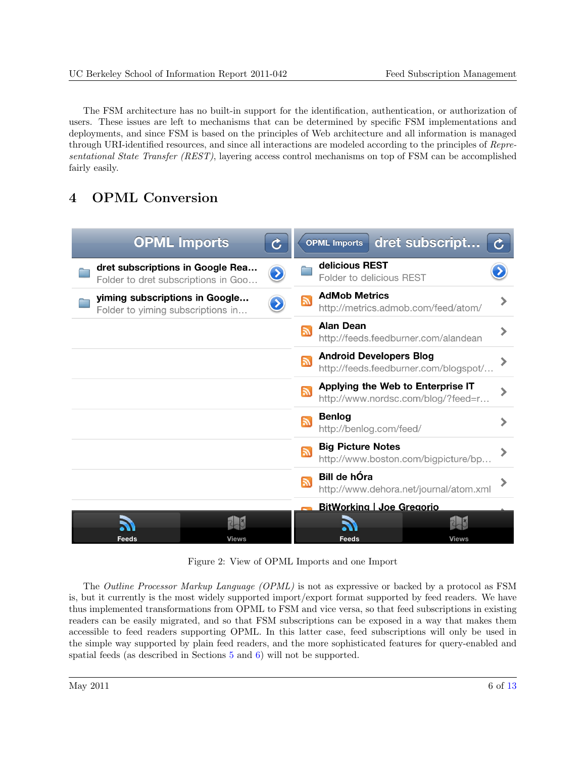<span id="page-5-0"></span>The FSM architecture has no built-in support for the identification, authentication, or authorization of users. These issues are left to mechanisms that can be determined by specific FSM implementations and deployments, and since FSM is based on the principles of Web architecture and all information is managed through URI-identified resources, and since all interactions are modeled according to the principles of Representational State Transfer (REST), layering access control mechanisms on top of FSM can be accomplished fairly easily.

# 4 OPML Conversion



Figure 2: View of OPML Imports and one Import

The Outline Processor Markup Language (OPML) is not as expressive or backed by a protocol as FSM is, but it currently is the most widely supported import/export format supported by feed readers. We have thus implemented transformations from OPML to FSM and vice versa, so that feed subscriptions in existing readers can be easily migrated, and so that FSM subscriptions can be exposed in a way that makes them accessible to feed readers supporting OPML. In this latter case, feed subscriptions will only be used in the simple way supported by plain feed readers, and the more sophisticated features for query-enabled and spatial feeds (as described in Sections [5](#page-6-0) and [6\)](#page-7-0) will not be supported.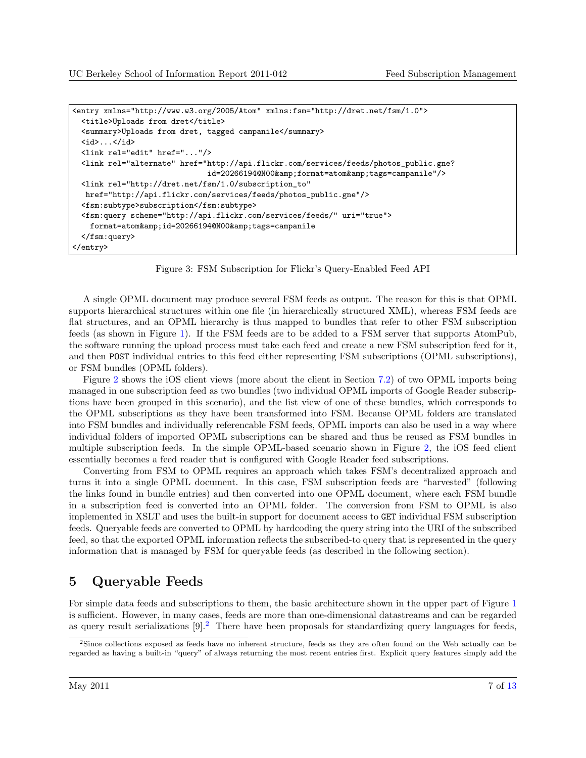```
<entry xmlns="http://www.w3.org/2005/Atom" xmlns:fsm="http://dret.net/fsm/1.0">
 <title>Uploads from dret</title>
 <summary>Uploads from dret, tagged campanile</summary>
 \langle id \rangle...\langle id \rangle<link rel="edit" href="..."/>
 <link rel="alternate" href="http://api.flickr.com/services/feeds/photos_public.gne?
                              id=20266194@N00&format=atom&tags=campanile"/>
 <link rel="http://dret.net/fsm/1.0/subscription_to"
  href="http://api.flickr.com/services/feeds/photos_public.gne"/>
 <fsm:subtype>subscription</fsm:subtype>
 <fsm:query scheme="http://api.flickr.com/services/feeds/" uri="true">
   format=atom&id=20266194@N00&tags=campanile
 </fsm:query>
</entry>
```
Figure 3: FSM Subscription for Flickr's Query-Enabled Feed API

A single OPML document may produce several FSM feeds as output. The reason for this is that OPML supports hierarchical structures within one file (in hierarchically structured XML), whereas FSM feeds are flat structures, and an OPML hierarchy is thus mapped to bundles that refer to other FSM subscription feeds (as shown in Figure [1\)](#page-3-0). If the FSM feeds are to be added to a FSM server that supports AtomPub, the software running the upload process must take each feed and create a new FSM subscription feed for it, and then POST individual entries to this feed either representing FSM subscriptions (OPML subscriptions), or FSM bundles (OPML folders).

Figure [2](#page-5-0) shows the iOS client views (more about the client in Section [7.2\)](#page-8-0) of two OPML imports being managed in one subscription feed as two bundles (two individual OPML imports of Google Reader subscriptions have been grouped in this scenario), and the list view of one of these bundles, which corresponds to the OPML subscriptions as they have been transformed into FSM. Because OPML folders are translated into FSM bundles and individually referencable FSM feeds, OPML imports can also be used in a way where individual folders of imported OPML subscriptions can be shared and thus be reused as FSM bundles in multiple subscription feeds. In the simple OPML-based scenario shown in Figure [2,](#page-5-0) the iOS feed client essentially becomes a feed reader that is configured with Google Reader feed subscriptions.

Converting from FSM to OPML requires an approach which takes FSM's decentralized approach and turns it into a single OPML document. In this case, FSM subscription feeds are "harvested" (following the links found in bundle entries) and then converted into one OPML document, where each FSM bundle in a subscription feed is converted into an OPML folder. The conversion from FSM to OPML is also implemented in XSLT and uses the built-in support for document access to GET individual FSM subscription feeds. Queryable feeds are converted to OPML by hardcoding the query string into the URI of the subscribed feed, so that the exported OPML information reflects the subscribed-to query that is represented in the query information that is managed by FSM for queryable feeds (as described in the following section).

### 5 Queryable Feeds

For simple data feeds and subscriptions to them, the basic architecture shown in the upper part of Figure [1](#page-3-0) is sufficient. However, in many cases, feeds are more than one-dimensional datastreams and can be regarded as query result serializations  $[9]^2$  $[9]^2$ . There have been proposals for standardizing query languages for feeds,

<sup>2</sup>Since collections exposed as feeds have no inherent structure, feeds as they are often found on the Web actually can be regarded as having a built-in "query" of always returning the most recent entries first. Explicit query features simply add the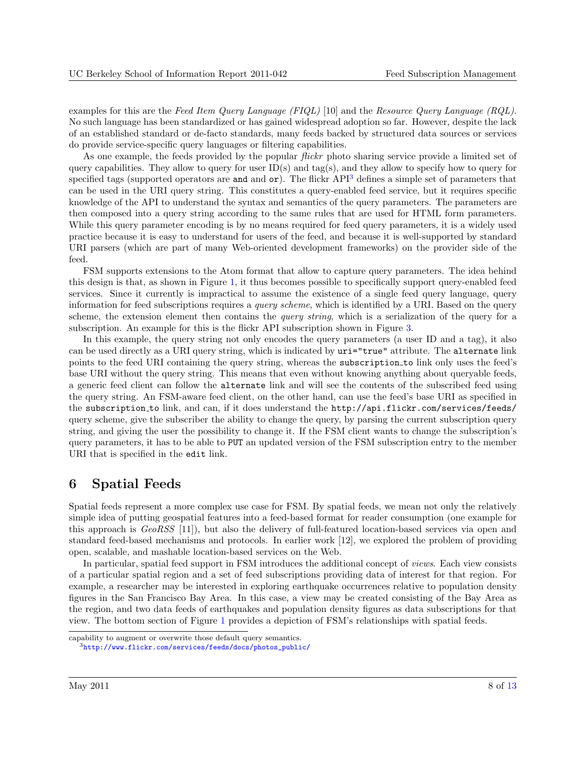<span id="page-7-0"></span>examples for this are the Feed Item Query Language (FIQL) [\[10\]](#page-11-0) and the Resource Query Language (RQL). No such language has been standardized or has gained widespread adoption so far. However, despite the lack of an established standard or de-facto standards, many feeds backed by structured data sources or services do provide service-specific query languages or filtering capabilities.

As one example, the feeds provided by the popular *flickr* photo sharing service provide a limited set of query capabilities. They allow to query for user  $ID(s)$  and tag(s), and they allow to specify how to query for specified tags (supported operators are and and  $\sigma r$ ). The flickr API<sup>3</sup> defines a simple set of parameters that can be used in the URI query string. This constitutes a query-enabled feed service, but it requires specific knowledge of the API to understand the syntax and semantics of the query parameters. The parameters are then composed into a query string according to the same rules that are used for HTML form parameters. While this query parameter encoding is by no means required for feed query parameters, it is a widely used practice because it is easy to understand for users of the feed, and because it is well-supported by standard URI parsers (which are part of many Web-oriented development frameworks) on the provider side of the feed.

FSM supports extensions to the Atom format that allow to capture query parameters. The idea behind this design is that, as shown in Figure [1,](#page-3-0) it thus becomes possible to specifically support query-enabled feed services. Since it currently is impractical to assume the existence of a single feed query language, query information for feed subscriptions requires a *query scheme*, which is identified by a URI. Based on the query scheme, the extension element then contains the *query string*, which is a serialization of the query for a subscription. An example for this is the flickr API subscription shown in Figure [3.](#page-6-0)

In this example, the query string not only encodes the query parameters (a user ID and a tag), it also can be used directly as a URI query string, which is indicated by uri="true" attribute. The alternate link points to the feed URI containing the query string, whereas the subscription to link only uses the feed's base URI without the query string. This means that even without knowing anything about queryable feeds, a generic feed client can follow the alternate link and will see the contents of the subscribed feed using the query string. An FSM-aware feed client, on the other hand, can use the feed's base URI as specified in the subscription to link, and can, if it does understand the http://api.flickr.com/services/feeds/ query scheme, give the subscriber the ability to change the query, by parsing the current subscription query string, and giving the user the possibility to change it. If the FSM client wants to change the subscription's query parameters, it has to be able to PUT an updated version of the FSM subscription entry to the member URI that is specified in the edit link.

### 6 Spatial Feeds

Spatial feeds represent a more complex use case for FSM. By spatial feeds, we mean not only the relatively simple idea of putting geospatial features into a feed-based format for reader consumption (one example for this approach is GeoRSS [\[11\]](#page-11-0)), but also the delivery of full-featured location-based services via open and standard feed-based mechanisms and protocols. In earlier work [\[12\]](#page-11-0), we explored the problem of providing open, scalable, and mashable location-based services on the Web.

In particular, spatial feed support in FSM introduces the additional concept of views. Each view consists of a particular spatial region and a set of feed subscriptions providing data of interest for that region. For example, a researcher may be interested in exploring earthquake occurrences relative to population density figures in the San Francisco Bay Area. In this case, a view may be created consisting of the Bay Area as the region, and two data feeds of earthquakes and population density figures as data subscriptions for that view. The bottom section of Figure [1](#page-3-0) provides a depiction of FSM's relationships with spatial feeds.

capability to augment or overwrite those default query semantics.

<sup>3</sup>[http://www.flickr.com/services/feeds/docs/photos\\_public/](http://www.flickr.com/services/feeds/docs/photos_public/)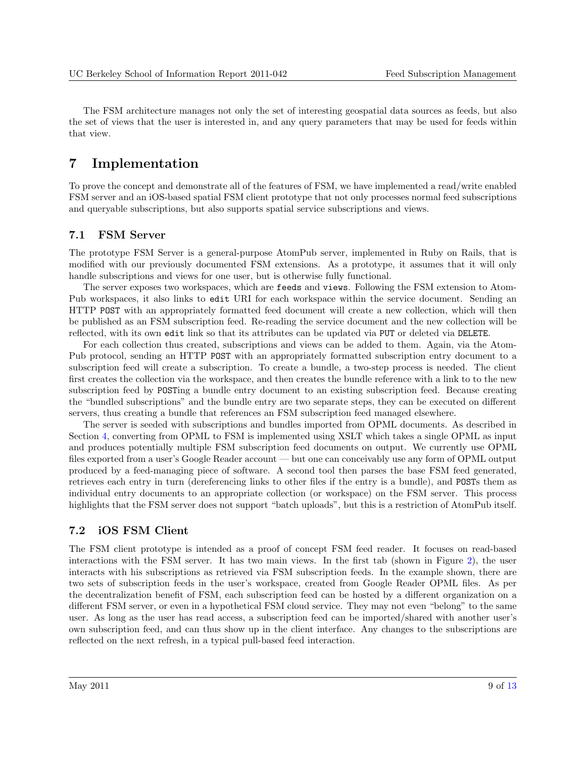<span id="page-8-0"></span>The FSM architecture manages not only the set of interesting geospatial data sources as feeds, but also the set of views that the user is interested in, and any query parameters that may be used for feeds within that view.

# 7 Implementation

To prove the concept and demonstrate all of the features of FSM, we have implemented a read/write enabled FSM server and an iOS-based spatial FSM client prototype that not only processes normal feed subscriptions and queryable subscriptions, but also supports spatial service subscriptions and views.

#### 7.1 FSM Server

The prototype FSM Server is a general-purpose AtomPub server, implemented in Ruby on Rails, that is modified with our previously documented FSM extensions. As a prototype, it assumes that it will only handle subscriptions and views for one user, but is otherwise fully functional.

The server exposes two workspaces, which are feeds and views. Following the FSM extension to Atom-Pub workspaces, it also links to edit URI for each workspace within the service document. Sending an HTTP POST with an appropriately formatted feed document will create a new collection, which will then be published as an FSM subscription feed. Re-reading the service document and the new collection will be reflected, with its own edit link so that its attributes can be updated via PUT or deleted via DELETE.

For each collection thus created, subscriptions and views can be added to them. Again, via the Atom-Pub protocol, sending an HTTP POST with an appropriately formatted subscription entry document to a subscription feed will create a subscription. To create a bundle, a two-step process is needed. The client first creates the collection via the workspace, and then creates the bundle reference with a link to to the new subscription feed by POSTing a bundle entry document to an existing subscription feed. Because creating the "bundled subscriptions" and the bundle entry are two separate steps, they can be executed on different servers, thus creating a bundle that references an FSM subscription feed managed elsewhere.

The server is seeded with subscriptions and bundles imported from OPML documents. As described in Section [4,](#page-5-0) converting from OPML to FSM is implemented using XSLT which takes a single OPML as input and produces potentially multiple FSM subscription feed documents on output. We currently use OPML files exported from a user's Google Reader account — but one can conceivably use any form of OPML output produced by a feed-managing piece of software. A second tool then parses the base FSM feed generated, retrieves each entry in turn (dereferencing links to other files if the entry is a bundle), and POSTs them as individual entry documents to an appropriate collection (or workspace) on the FSM server. This process highlights that the FSM server does not support "batch uploads", but this is a restriction of AtomPub itself.

#### 7.2 iOS FSM Client

The FSM client prototype is intended as a proof of concept FSM feed reader. It focuses on read-based interactions with the FSM server. It has two main views. In the first tab (shown in Figure [2\)](#page-5-0), the user interacts with his subscriptions as retrieved via FSM subscription feeds. In the example shown, there are two sets of subscription feeds in the user's workspace, created from Google Reader OPML files. As per the decentralization benefit of FSM, each subscription feed can be hosted by a different organization on a different FSM server, or even in a hypothetical FSM cloud service. They may not even "belong" to the same user. As long as the user has read access, a subscription feed can be imported/shared with another user's own subscription feed, and can thus show up in the client interface. Any changes to the subscriptions are reflected on the next refresh, in a typical pull-based feed interaction.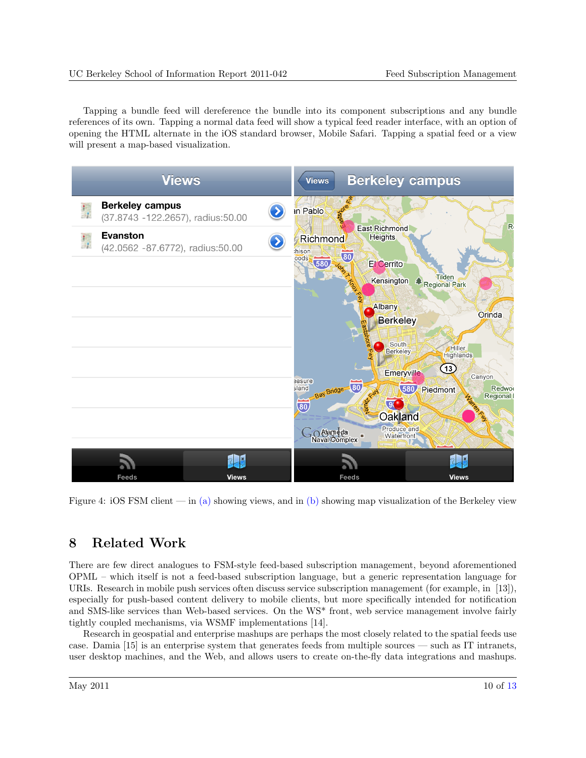<span id="page-9-0"></span>Tapping a bundle feed will dereference the bundle into its component subscriptions and any bundle references of its own. Tapping a normal data feed will show a typical feed reader interface, with an option of opening the HTML alternate in the iOS standard browser, Mobile Safari. Tapping a spatial feed or a view will present a map-based visualization.



Figure 4: iOS FSM client — in (a) showing views, and in (b) showing map visualization of the Berkeley view

# 8 Related Work

There are few direct analogues to FSM-style feed-based subscription management, beyond aforementioned OPML – which itself is not a feed-based subscription language, but a generic representation language for URIs. Research in mobile push services often discuss service subscription management (for example, in [\[13\]](#page-11-0)), especially for push-based content delivery to mobile clients, but more specifically intended for notification and SMS-like services than Web-based services. On the WS\* front, web service management involve fairly tightly coupled mechanisms, via WSMF implementations [\[14\]](#page-12-0).

Research in geospatial and enterprise mashups are perhaps the most closely related to the spatial feeds use case. Damia [\[15\]](#page-12-0) is an enterprise system that generates feeds from multiple sources — such as IT intranets, user desktop machines, and the Web, and allows users to create on-the-fly data integrations and mashups.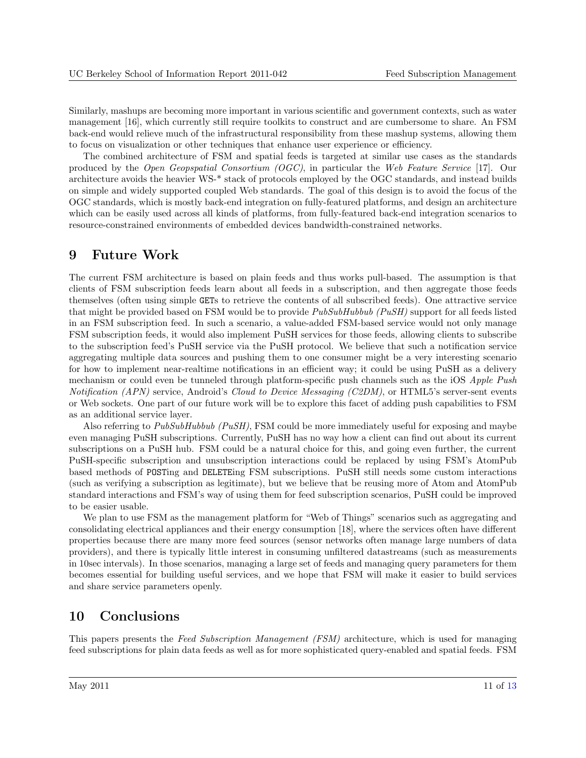<span id="page-10-0"></span>Similarly, mashups are becoming more important in various scientific and government contexts, such as water management [\[16\]](#page-12-0), which currently still require toolkits to construct and are cumbersome to share. An FSM back-end would relieve much of the infrastructural responsibility from these mashup systems, allowing them to focus on visualization or other techniques that enhance user experience or efficiency.

The combined architecture of FSM and spatial feeds is targeted at similar use cases as the standards produced by the Open Geopspatial Consortium (OGC), in particular the Web Feature Service [\[17\]](#page-12-0). Our architecture avoids the heavier WS-\* stack of protocols employed by the OGC standards, and instead builds on simple and widely supported coupled Web standards. The goal of this design is to avoid the focus of the OGC standards, which is mostly back-end integration on fully-featured platforms, and design an architecture which can be easily used across all kinds of platforms, from fully-featured back-end integration scenarios to resource-constrained environments of embedded devices bandwidth-constrained networks.

#### 9 Future Work

The current FSM architecture is based on plain feeds and thus works pull-based. The assumption is that clients of FSM subscription feeds learn about all feeds in a subscription, and then aggregate those feeds themselves (often using simple GETs to retrieve the contents of all subscribed feeds). One attractive service that might be provided based on FSM would be to provide  $PubSubHubbub (PuSH)$  support for all feeds listed in an FSM subscription feed. In such a scenario, a value-added FSM-based service would not only manage FSM subscription feeds, it would also implement PuSH services for those feeds, allowing clients to subscribe to the subscription feed's PuSH service via the PuSH protocol. We believe that such a notification service aggregating multiple data sources and pushing them to one consumer might be a very interesting scenario for how to implement near-realtime notifications in an efficient way; it could be using PuSH as a delivery mechanism or could even be tunneled through platform-specific push channels such as the iOS Apple Push Notification (APN) service, Android's Cloud to Device Messaging (C2DM), or HTML5's server-sent events or Web sockets. One part of our future work will be to explore this facet of adding push capabilities to FSM as an additional service layer.

Also referring to PubSubHubbub (PuSH), FSM could be more immediately useful for exposing and maybe even managing PuSH subscriptions. Currently, PuSH has no way how a client can find out about its current subscriptions on a PuSH hub. FSM could be a natural choice for this, and going even further, the current PuSH-specific subscription and unsubscription interactions could be replaced by using FSM's AtomPub based methods of POSTing and DELETEing FSM subscriptions. PuSH still needs some custom interactions (such as verifying a subscription as legitimate), but we believe that be reusing more of Atom and AtomPub standard interactions and FSM's way of using them for feed subscription scenarios, PuSH could be improved to be easier usable.

We plan to use FSM as the management platform for "Web of Things" scenarios such as aggregating and consolidating electrical appliances and their energy consumption [\[18\]](#page-12-0), where the services often have different properties because there are many more feed sources (sensor networks often manage large numbers of data providers), and there is typically little interest in consuming unfiltered datastreams (such as measurements in 10sec intervals). In those scenarios, managing a large set of feeds and managing query parameters for them becomes essential for building useful services, and we hope that FSM will make it easier to build services and share service parameters openly.

### 10 Conclusions

This papers presents the Feed Subscription Management (FSM) architecture, which is used for managing feed subscriptions for plain data feeds as well as for more sophisticated query-enabled and spatial feeds. FSM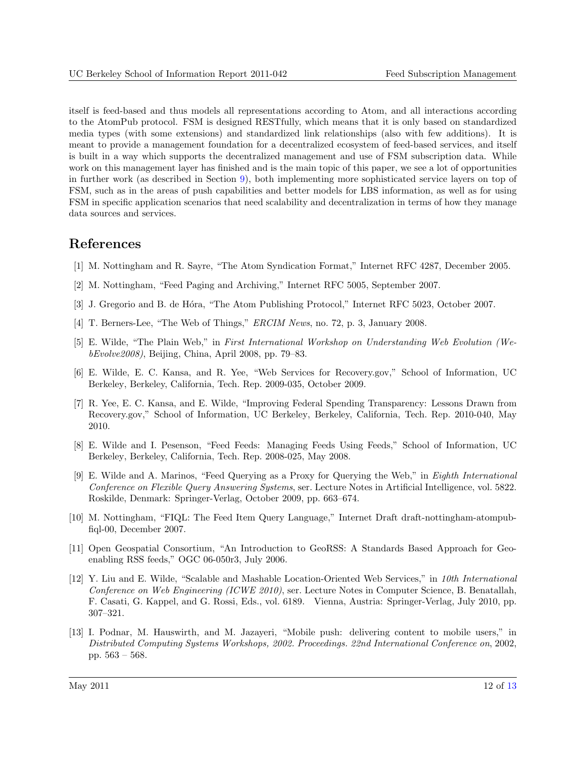<span id="page-11-0"></span>itself is feed-based and thus models all representations according to Atom, and all interactions according to the AtomPub protocol. FSM is designed RESTfully, which means that it is only based on standardized media types (with some extensions) and standardized link relationships (also with few additions). It is meant to provide a management foundation for a decentralized ecosystem of feed-based services, and itself is built in a way which supports the decentralized management and use of FSM subscription data. While work on this management layer has finished and is the main topic of this paper, we see a lot of opportunities in further work (as described in Section [9\)](#page-10-0), both implementing more sophisticated service layers on top of FSM, such as in the areas of push capabilities and better models for LBS information, as well as for using FSM in specific application scenarios that need scalability and decentralization in terms of how they manage data sources and services.

# References

- [1] M. Nottingham and R. Sayre, "The Atom Syndication Format," Internet RFC 4287, December 2005.
- [2] M. Nottingham, "Feed Paging and Archiving," Internet RFC 5005, September 2007.
- [3] J. Gregorio and B. de Hóra, "The Atom Publishing Protocol," Internet RFC 5023, October 2007.
- [4] T. Berners-Lee, "The Web of Things," ERCIM News, no. 72, p. 3, January 2008.
- [5] E. Wilde, "The Plain Web," in First International Workshop on Understanding Web Evolution (WebEvolve2008), Beijing, China, April 2008, pp. 79–83.
- [6] E. Wilde, E. C. Kansa, and R. Yee, "Web Services for Recovery.gov," School of Information, UC Berkeley, Berkeley, California, Tech. Rep. 2009-035, October 2009.
- [7] R. Yee, E. C. Kansa, and E. Wilde, "Improving Federal Spending Transparency: Lessons Drawn from Recovery.gov," School of Information, UC Berkeley, Berkeley, California, Tech. Rep. 2010-040, May 2010.
- [8] E. Wilde and I. Pesenson, "Feed Feeds: Managing Feeds Using Feeds," School of Information, UC Berkeley, Berkeley, California, Tech. Rep. 2008-025, May 2008.
- [9] E. Wilde and A. Marinos, "Feed Querying as a Proxy for Querying the Web," in Eighth International Conference on Flexible Query Answering Systems, ser. Lecture Notes in Artificial Intelligence, vol. 5822. Roskilde, Denmark: Springer-Verlag, October 2009, pp. 663–674.
- [10] M. Nottingham, "FIQL: The Feed Item Query Language," Internet Draft draft-nottingham-atompubfiql-00, December 2007.
- [11] Open Geospatial Consortium, "An Introduction to GeoRSS: A Standards Based Approach for Geoenabling RSS feeds," OGC 06-050r3, July 2006.
- [12] Y. Liu and E. Wilde, "Scalable and Mashable Location-Oriented Web Services," in 10th International Conference on Web Engineering (ICWE 2010), ser. Lecture Notes in Computer Science, B. Benatallah, F. Casati, G. Kappel, and G. Rossi, Eds., vol. 6189. Vienna, Austria: Springer-Verlag, July 2010, pp. 307–321.
- [13] I. Podnar, M. Hauswirth, and M. Jazayeri, "Mobile push: delivering content to mobile users," in Distributed Computing Systems Workshops, 2002. Proceedings. 22nd International Conference on, 2002, pp. 563 – 568.